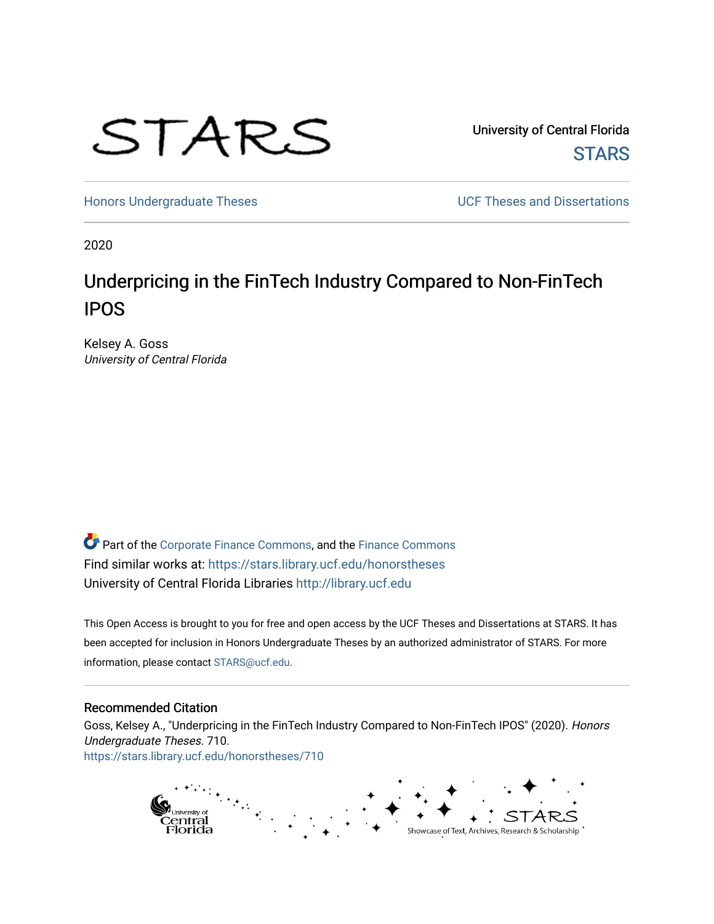

University of Central Florida **STARS** 

[Honors Undergraduate Theses](https://stars.library.ucf.edu/honorstheses) **Exercise 2018** UCF Theses and Dissertations

2020

# Underpricing in the FinTech Industry Compared to Non-FinTech IPOS

Kelsey A. Goss University of Central Florida

Part of the [Corporate Finance Commons](http://network.bepress.com/hgg/discipline/629?utm_source=stars.library.ucf.edu%2Fhonorstheses%2F710&utm_medium=PDF&utm_campaign=PDFCoverPages), and the [Finance Commons](http://network.bepress.com/hgg/discipline/345?utm_source=stars.library.ucf.edu%2Fhonorstheses%2F710&utm_medium=PDF&utm_campaign=PDFCoverPages)  Find similar works at: <https://stars.library.ucf.edu/honorstheses> University of Central Florida Libraries [http://library.ucf.edu](http://library.ucf.edu/) 

This Open Access is brought to you for free and open access by the UCF Theses and Dissertations at STARS. It has been accepted for inclusion in Honors Undergraduate Theses by an authorized administrator of STARS. For more information, please contact [STARS@ucf.edu.](mailto:STARS@ucf.edu)

#### Recommended Citation

Goss, Kelsey A., "Underpricing in the FinTech Industry Compared to Non-FinTech IPOS" (2020). Honors Undergraduate Theses. 710. [https://stars.library.ucf.edu/honorstheses/710](https://stars.library.ucf.edu/honorstheses/710?utm_source=stars.library.ucf.edu%2Fhonorstheses%2F710&utm_medium=PDF&utm_campaign=PDFCoverPages) 

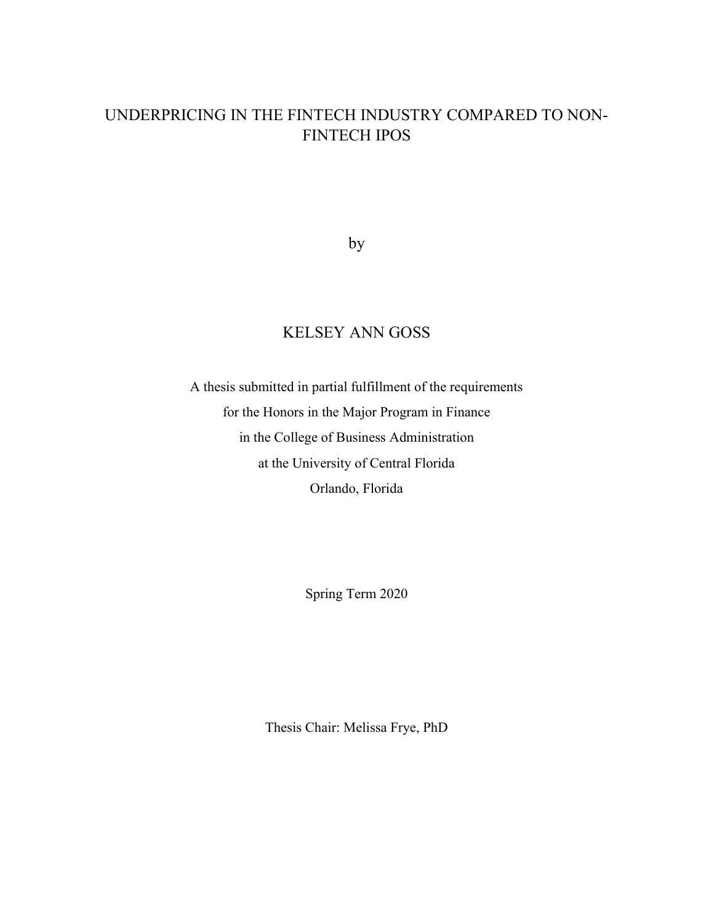## UNDERPRICING IN THE FINTECH INDUSTRY COMPARED TO NON-FINTECH IPOS

by

# KELSEY ANN GOSS

A thesis submitted in partial fulfillment of the requirements for the Honors in the Major Program in Finance in the College of Business Administration at the University of Central Florida Orlando, Florida

Spring Term 2020

Thesis Chair: Melissa Frye, PhD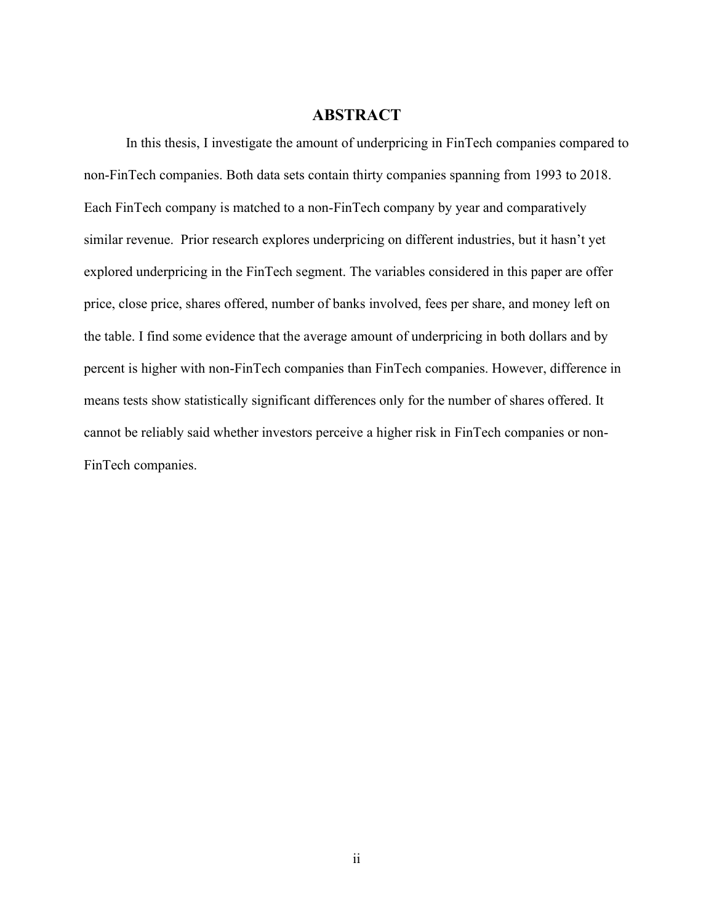#### **ABSTRACT**

 In this thesis, I investigate the amount of underpricing in FinTech companies compared to non-FinTech companies. Both data sets contain thirty companies spanning from 1993 to 2018. Each FinTech company is matched to a non-FinTech company by year and comparatively similar revenue. Prior research explores underpricing on different industries, but it hasn't yet explored underpricing in the FinTech segment. The variables considered in this paper are offer price, close price, shares offered, number of banks involved, fees per share, and money left on the table. I find some evidence that the average amount of underpricing in both dollars and by percent is higher with non-FinTech companies than FinTech companies. However, difference in means tests show statistically significant differences only for the number of shares offered. It cannot be reliably said whether investors perceive a higher risk in FinTech companies or non-FinTech companies.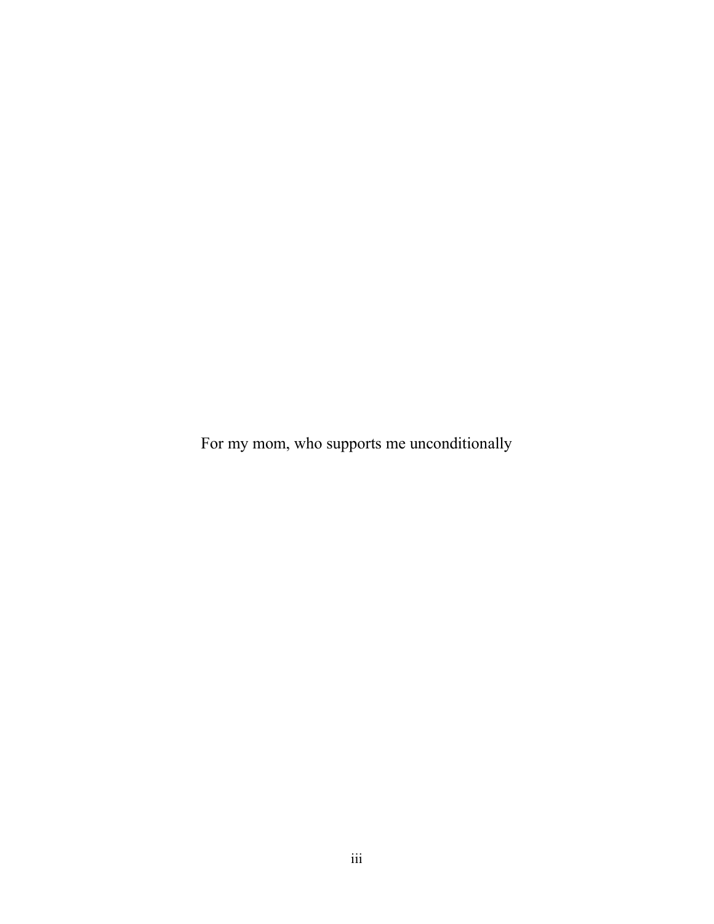For my mom, who supports me unconditionally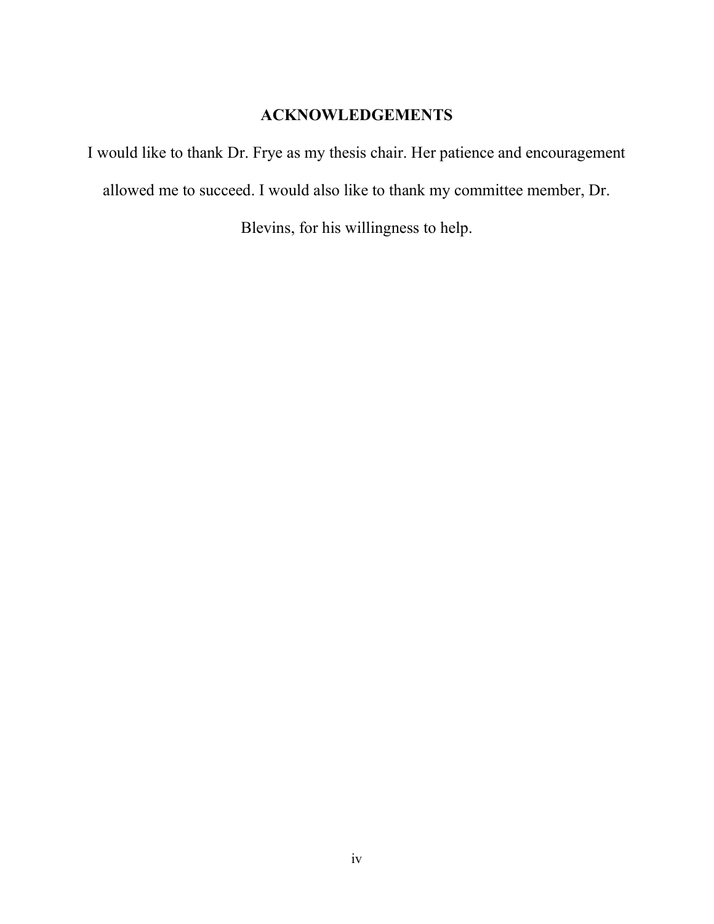### ACKNOWLEDGEMENTS

I would like to thank Dr. Frye as my thesis chair. Her patience and encouragement allowed me to succeed. I would also like to thank my committee member, Dr.

Blevins, for his willingness to help.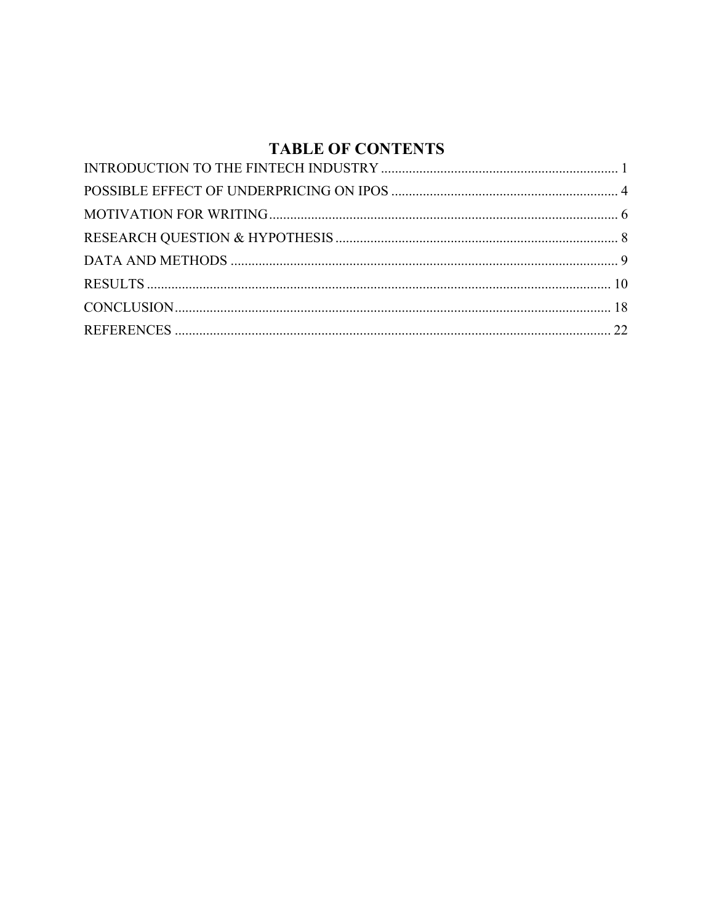## **TABLE OF CONTENTS**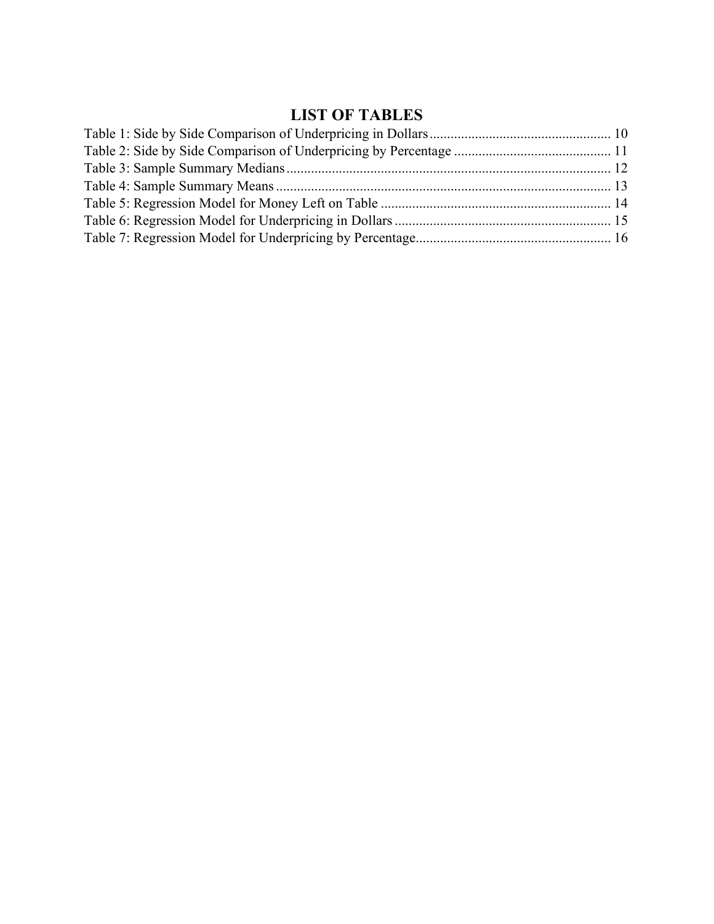# LIST OF TABLES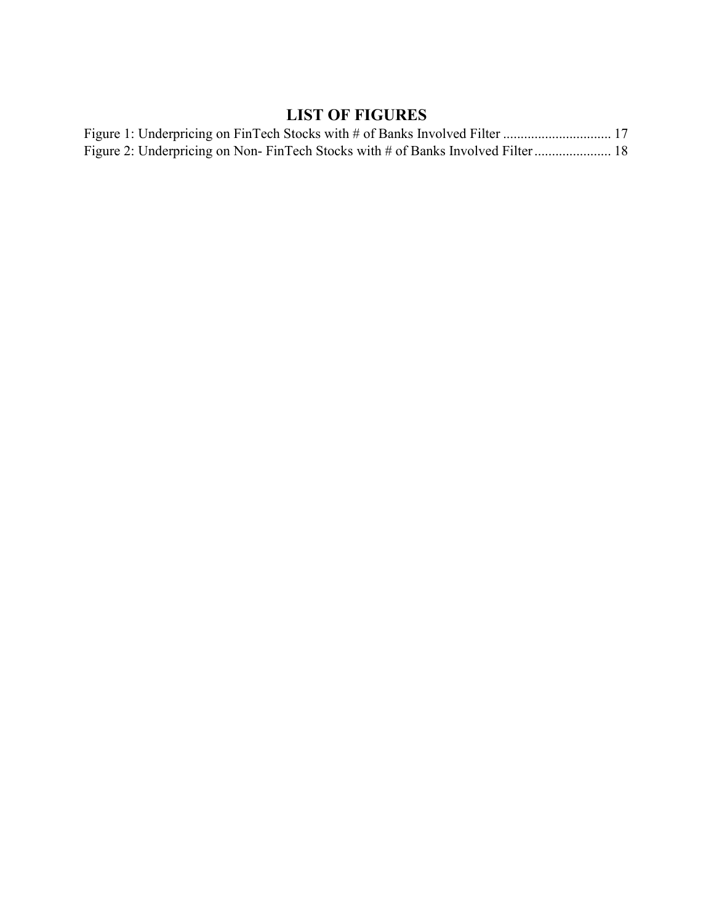## LIST OF FIGURES

|  |  |  | Figure 2: Underpricing on Non-FinTech Stocks with # of Banks Involved Filter 18 |  |
|--|--|--|---------------------------------------------------------------------------------|--|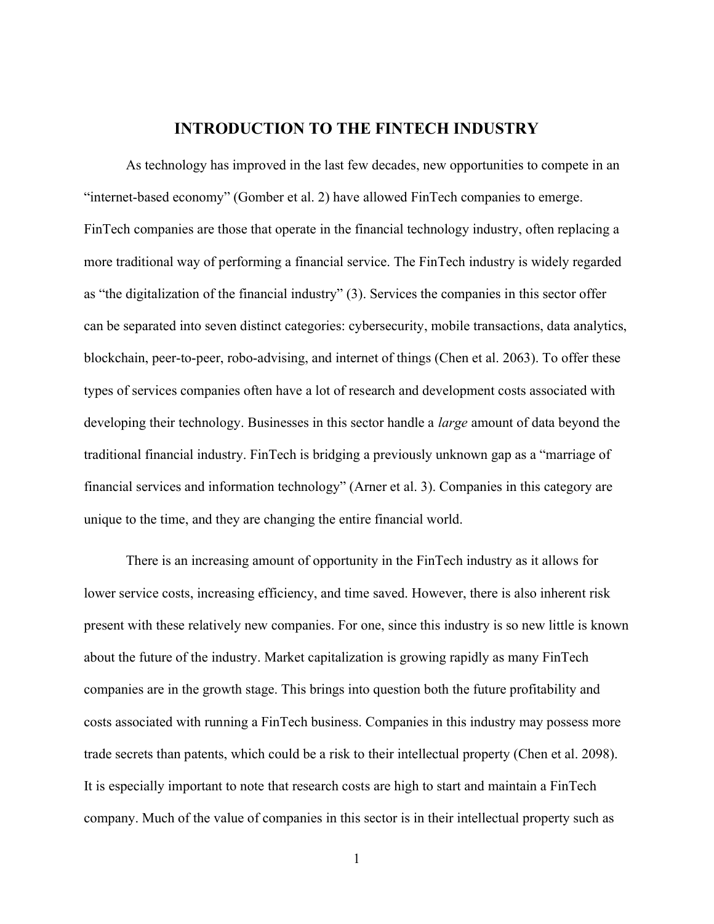#### INTRODUCTION TO THE FINTECH INDUSTRY

As technology has improved in the last few decades, new opportunities to compete in an "internet-based economy" (Gomber et al. 2) have allowed FinTech companies to emerge. FinTech companies are those that operate in the financial technology industry, often replacing a more traditional way of performing a financial service. The FinTech industry is widely regarded as "the digitalization of the financial industry" (3). Services the companies in this sector offer can be separated into seven distinct categories: cybersecurity, mobile transactions, data analytics, blockchain, peer-to-peer, robo-advising, and internet of things (Chen et al. 2063). To offer these types of services companies often have a lot of research and development costs associated with developing their technology. Businesses in this sector handle a *large* amount of data beyond the traditional financial industry. FinTech is bridging a previously unknown gap as a "marriage of financial services and information technology" (Arner et al. 3). Companies in this category are unique to the time, and they are changing the entire financial world.

 There is an increasing amount of opportunity in the FinTech industry as it allows for lower service costs, increasing efficiency, and time saved. However, there is also inherent risk present with these relatively new companies. For one, since this industry is so new little is known about the future of the industry. Market capitalization is growing rapidly as many FinTech companies are in the growth stage. This brings into question both the future profitability and costs associated with running a FinTech business. Companies in this industry may possess more trade secrets than patents, which could be a risk to their intellectual property (Chen et al. 2098). It is especially important to note that research costs are high to start and maintain a FinTech company. Much of the value of companies in this sector is in their intellectual property such as

1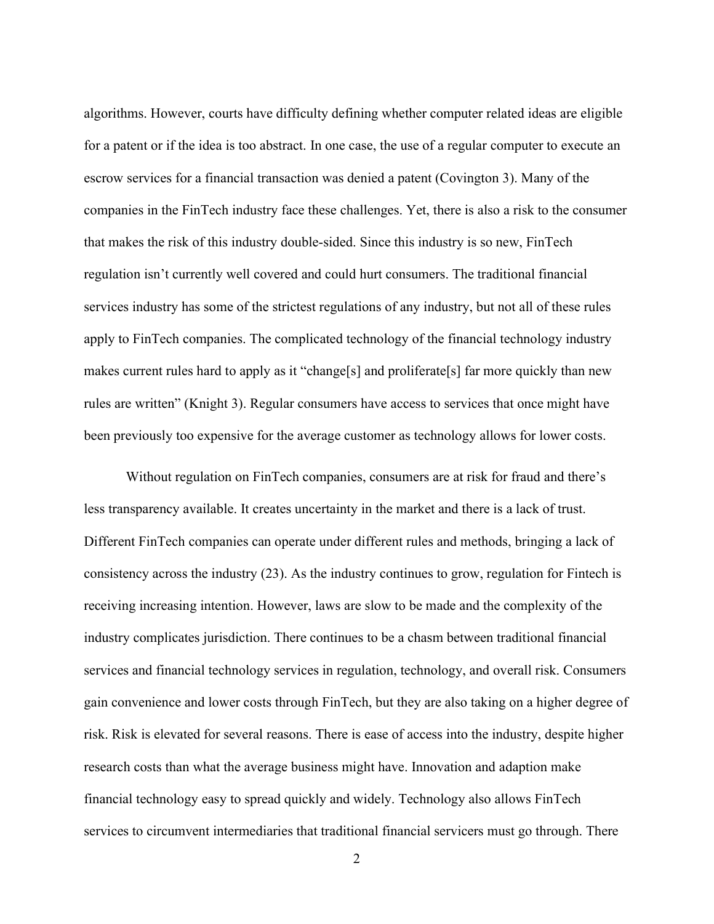algorithms. However, courts have difficulty defining whether computer related ideas are eligible for a patent or if the idea is too abstract. In one case, the use of a regular computer to execute an escrow services for a financial transaction was denied a patent (Covington 3). Many of the companies in the FinTech industry face these challenges. Yet, there is also a risk to the consumer that makes the risk of this industry double-sided. Since this industry is so new, FinTech regulation isn't currently well covered and could hurt consumers. The traditional financial services industry has some of the strictest regulations of any industry, but not all of these rules apply to FinTech companies. The complicated technology of the financial technology industry makes current rules hard to apply as it "change<sup>[s]</sup> and proliferate<sup>[s]</sup> far more quickly than new rules are written" (Knight 3). Regular consumers have access to services that once might have been previously too expensive for the average customer as technology allows for lower costs.

 Without regulation on FinTech companies, consumers are at risk for fraud and there's less transparency available. It creates uncertainty in the market and there is a lack of trust. Different FinTech companies can operate under different rules and methods, bringing a lack of consistency across the industry (23). As the industry continues to grow, regulation for Fintech is receiving increasing intention. However, laws are slow to be made and the complexity of the industry complicates jurisdiction. There continues to be a chasm between traditional financial services and financial technology services in regulation, technology, and overall risk. Consumers gain convenience and lower costs through FinTech, but they are also taking on a higher degree of risk. Risk is elevated for several reasons. There is ease of access into the industry, despite higher research costs than what the average business might have. Innovation and adaption make financial technology easy to spread quickly and widely. Technology also allows FinTech services to circumvent intermediaries that traditional financial servicers must go through. There

2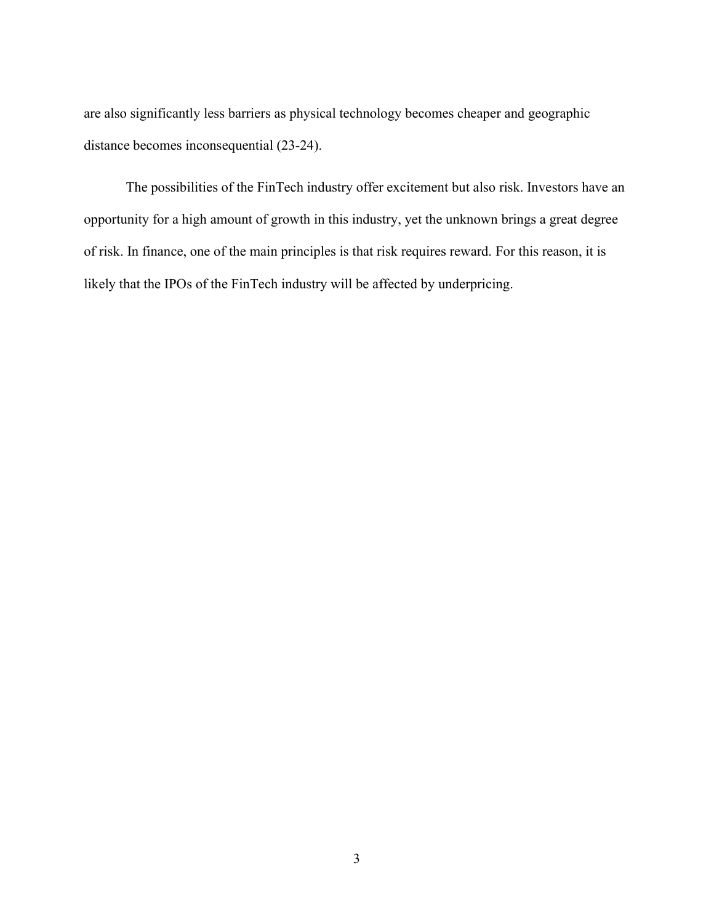are also significantly less barriers as physical technology becomes cheaper and geographic distance becomes inconsequential (23-24).

 The possibilities of the FinTech industry offer excitement but also risk. Investors have an opportunity for a high amount of growth in this industry, yet the unknown brings a great degree of risk. In finance, one of the main principles is that risk requires reward. For this reason, it is likely that the IPOs of the FinTech industry will be affected by underpricing.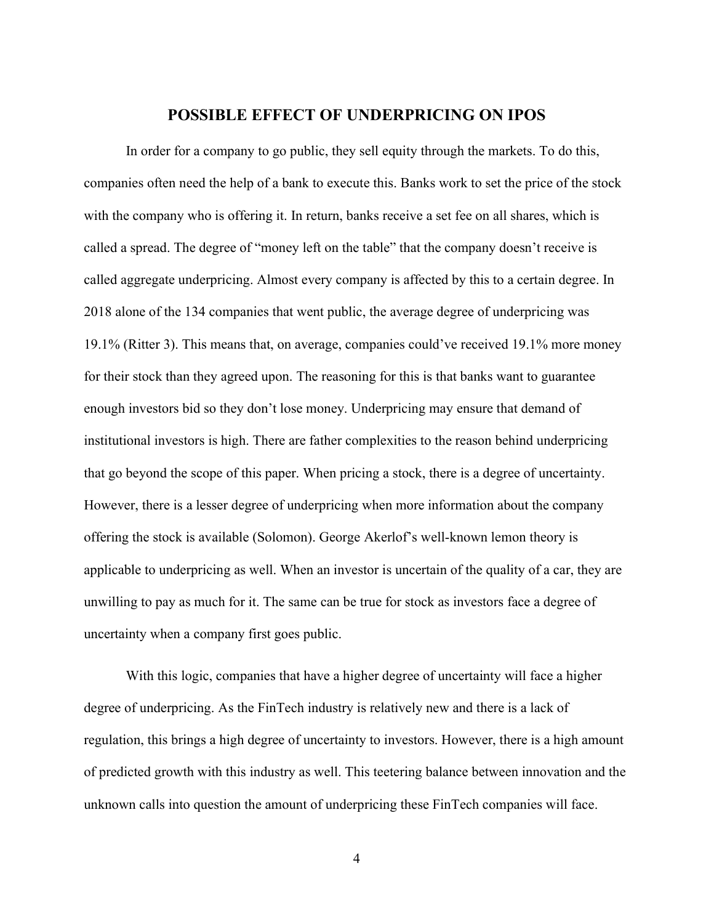#### POSSIBLE EFFECT OF UNDERPRICING ON IPOS

In order for a company to go public, they sell equity through the markets. To do this, companies often need the help of a bank to execute this. Banks work to set the price of the stock with the company who is offering it. In return, banks receive a set fee on all shares, which is called a spread. The degree of "money left on the table" that the company doesn't receive is called aggregate underpricing. Almost every company is affected by this to a certain degree. In 2018 alone of the 134 companies that went public, the average degree of underpricing was 19.1% (Ritter 3). This means that, on average, companies could've received 19.1% more money for their stock than they agreed upon. The reasoning for this is that banks want to guarantee enough investors bid so they don't lose money. Underpricing may ensure that demand of institutional investors is high. There are father complexities to the reason behind underpricing that go beyond the scope of this paper. When pricing a stock, there is a degree of uncertainty. However, there is a lesser degree of underpricing when more information about the company offering the stock is available (Solomon). George Akerlof's well-known lemon theory is applicable to underpricing as well. When an investor is uncertain of the quality of a car, they are unwilling to pay as much for it. The same can be true for stock as investors face a degree of uncertainty when a company first goes public.

 With this logic, companies that have a higher degree of uncertainty will face a higher degree of underpricing. As the FinTech industry is relatively new and there is a lack of regulation, this brings a high degree of uncertainty to investors. However, there is a high amount of predicted growth with this industry as well. This teetering balance between innovation and the unknown calls into question the amount of underpricing these FinTech companies will face.

4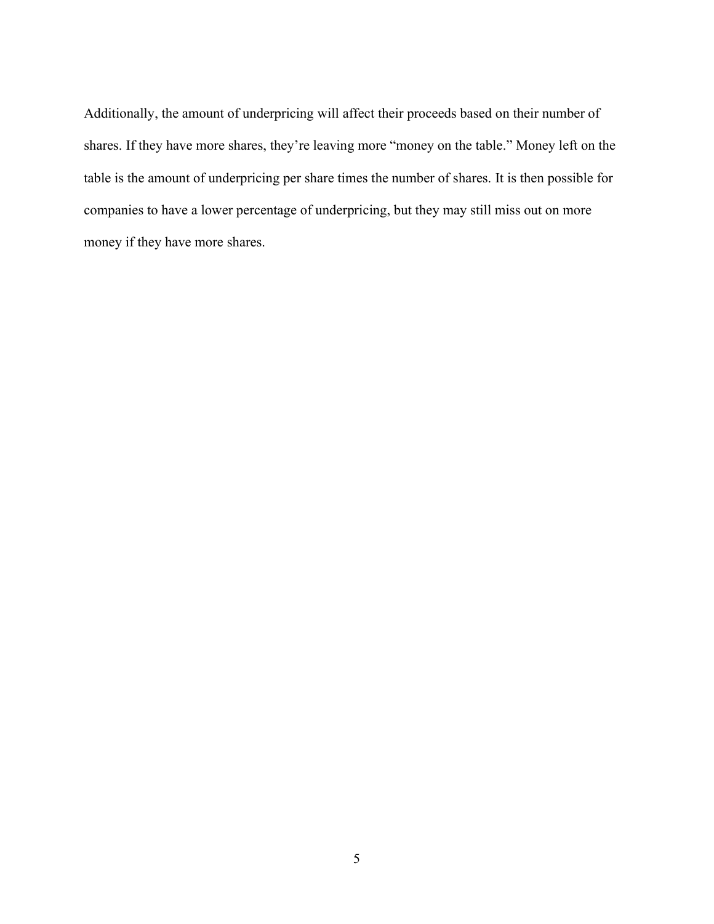Additionally, the amount of underpricing will affect their proceeds based on their number of shares. If they have more shares, they're leaving more "money on the table." Money left on the table is the amount of underpricing per share times the number of shares. It is then possible for companies to have a lower percentage of underpricing, but they may still miss out on more money if they have more shares.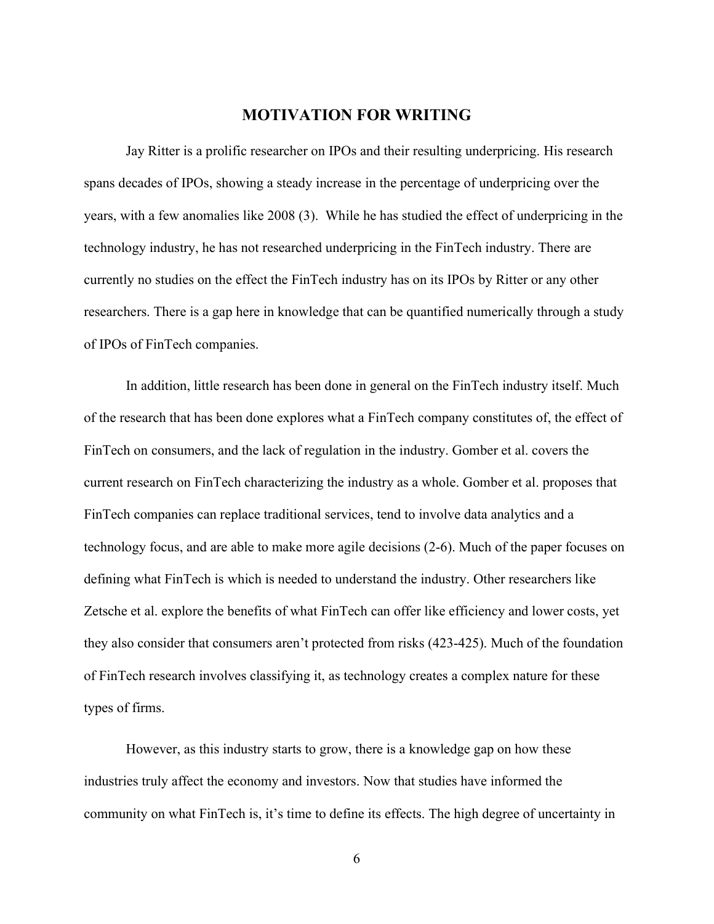#### MOTIVATION FOR WRITING

 Jay Ritter is a prolific researcher on IPOs and their resulting underpricing. His research spans decades of IPOs, showing a steady increase in the percentage of underpricing over the years, with a few anomalies like 2008 (3). While he has studied the effect of underpricing in the technology industry, he has not researched underpricing in the FinTech industry. There are currently no studies on the effect the FinTech industry has on its IPOs by Ritter or any other researchers. There is a gap here in knowledge that can be quantified numerically through a study of IPOs of FinTech companies.

 In addition, little research has been done in general on the FinTech industry itself. Much of the research that has been done explores what a FinTech company constitutes of, the effect of FinTech on consumers, and the lack of regulation in the industry. Gomber et al. covers the current research on FinTech characterizing the industry as a whole. Gomber et al. proposes that FinTech companies can replace traditional services, tend to involve data analytics and a technology focus, and are able to make more agile decisions (2-6). Much of the paper focuses on defining what FinTech is which is needed to understand the industry. Other researchers like Zetsche et al. explore the benefits of what FinTech can offer like efficiency and lower costs, yet they also consider that consumers aren't protected from risks (423-425). Much of the foundation of FinTech research involves classifying it, as technology creates a complex nature for these types of firms.

 However, as this industry starts to grow, there is a knowledge gap on how these industries truly affect the economy and investors. Now that studies have informed the community on what FinTech is, it's time to define its effects. The high degree of uncertainty in

6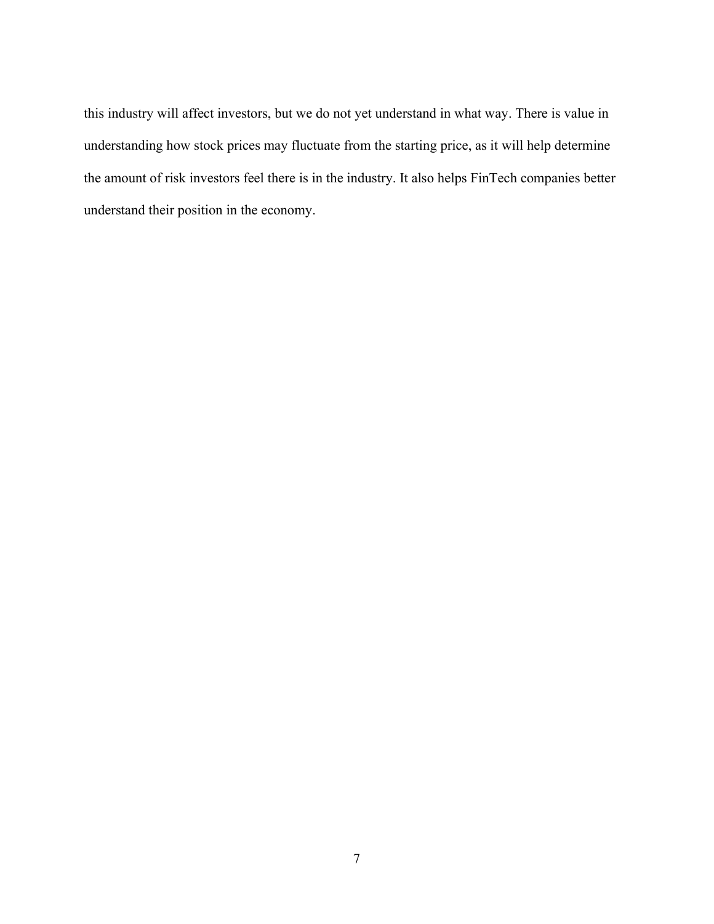this industry will affect investors, but we do not yet understand in what way. There is value in understanding how stock prices may fluctuate from the starting price, as it will help determine the amount of risk investors feel there is in the industry. It also helps FinTech companies better understand their position in the economy.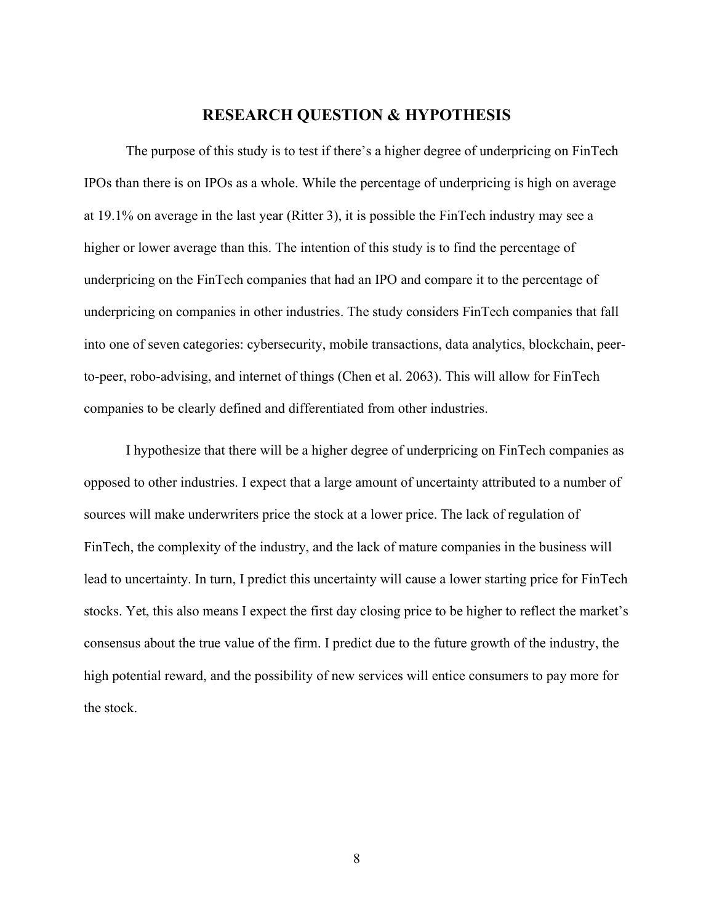#### RESEARCH QUESTION & HYPOTHESIS

 The purpose of this study is to test if there's a higher degree of underpricing on FinTech IPOs than there is on IPOs as a whole. While the percentage of underpricing is high on average at 19.1% on average in the last year (Ritter 3), it is possible the FinTech industry may see a higher or lower average than this. The intention of this study is to find the percentage of underpricing on the FinTech companies that had an IPO and compare it to the percentage of underpricing on companies in other industries. The study considers FinTech companies that fall into one of seven categories: cybersecurity, mobile transactions, data analytics, blockchain, peerto-peer, robo-advising, and internet of things (Chen et al. 2063). This will allow for FinTech companies to be clearly defined and differentiated from other industries.

 I hypothesize that there will be a higher degree of underpricing on FinTech companies as opposed to other industries. I expect that a large amount of uncertainty attributed to a number of sources will make underwriters price the stock at a lower price. The lack of regulation of FinTech, the complexity of the industry, and the lack of mature companies in the business will lead to uncertainty. In turn, I predict this uncertainty will cause a lower starting price for FinTech stocks. Yet, this also means I expect the first day closing price to be higher to reflect the market's consensus about the true value of the firm. I predict due to the future growth of the industry, the high potential reward, and the possibility of new services will entice consumers to pay more for the stock.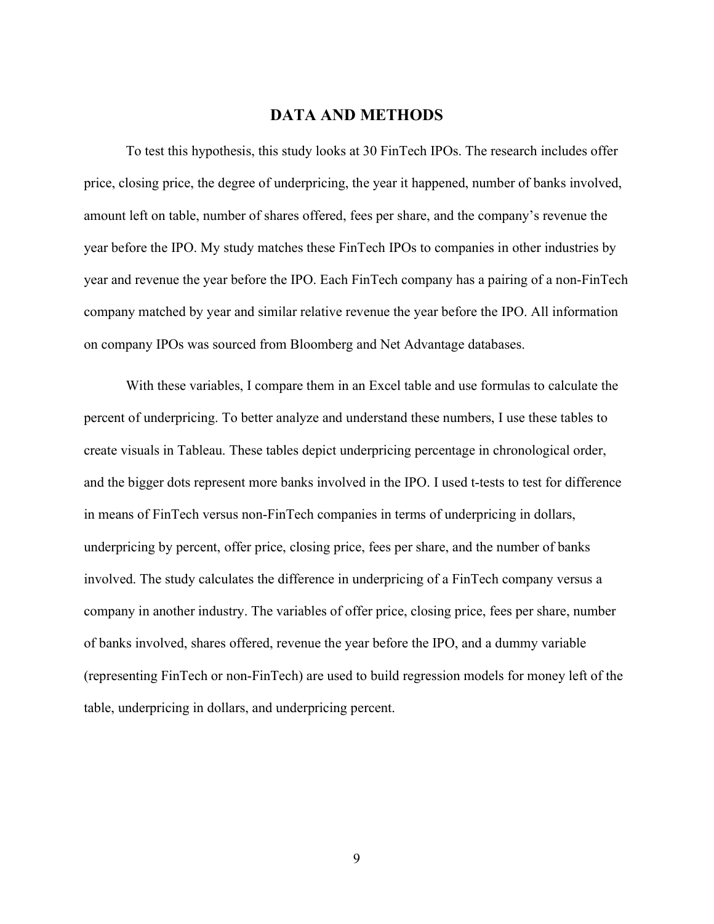#### DATA AND METHODS

To test this hypothesis, this study looks at 30 FinTech IPOs. The research includes offer price, closing price, the degree of underpricing, the year it happened, number of banks involved, amount left on table, number of shares offered, fees per share, and the company's revenue the year before the IPO. My study matches these FinTech IPOs to companies in other industries by year and revenue the year before the IPO. Each FinTech company has a pairing of a non-FinTech company matched by year and similar relative revenue the year before the IPO. All information on company IPOs was sourced from Bloomberg and Net Advantage databases.

 With these variables, I compare them in an Excel table and use formulas to calculate the percent of underpricing. To better analyze and understand these numbers, I use these tables to create visuals in Tableau. These tables depict underpricing percentage in chronological order, and the bigger dots represent more banks involved in the IPO. I used t-tests to test for difference in means of FinTech versus non-FinTech companies in terms of underpricing in dollars, underpricing by percent, offer price, closing price, fees per share, and the number of banks involved. The study calculates the difference in underpricing of a FinTech company versus a company in another industry. The variables of offer price, closing price, fees per share, number of banks involved, shares offered, revenue the year before the IPO, and a dummy variable (representing FinTech or non-FinTech) are used to build regression models for money left of the table, underpricing in dollars, and underpricing percent.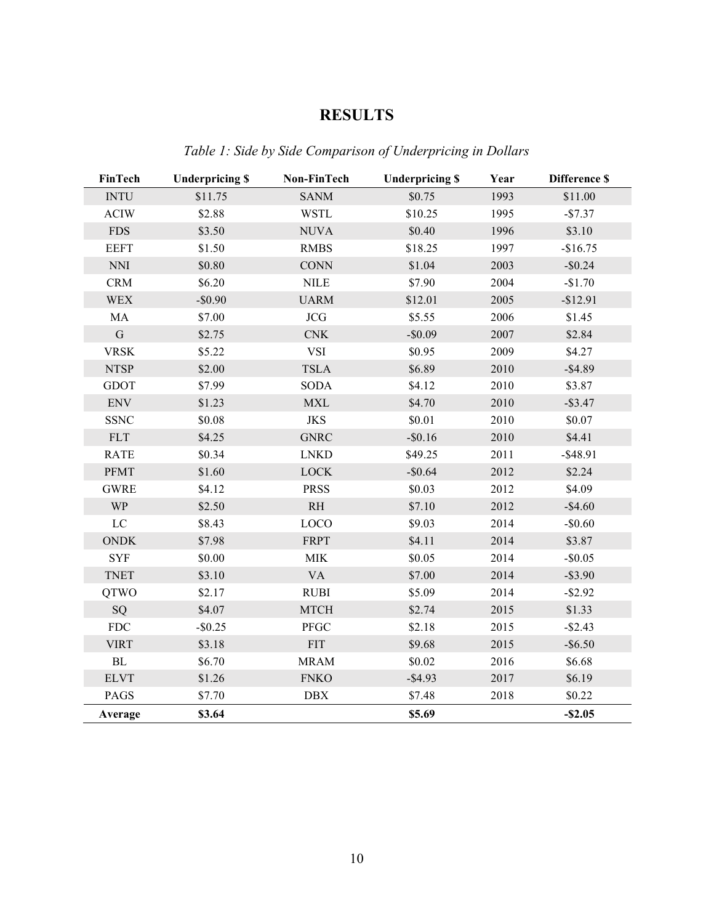### RESULTS

| FinTech                                           | <b>Underpricing \$</b> | Non-FinTech                  | <b>Underpricing \$</b> | Year | <b>Difference \$</b> |
|---------------------------------------------------|------------------------|------------------------------|------------------------|------|----------------------|
| <b>INTU</b>                                       | \$11.75                | <b>SANM</b>                  | \$0.75                 | 1993 | \$11.00              |
| <b>ACIW</b>                                       | \$2.88                 | <b>WSTL</b>                  | \$10.25                | 1995 | $-$7.37$             |
| <b>FDS</b>                                        | \$3.50                 | <b>NUVA</b>                  | \$0.40                 | 1996 | \$3.10               |
| <b>EEFT</b>                                       | \$1.50                 | <b>RMBS</b>                  | \$18.25                | 1997 | $-$16.75$            |
| $\mathop{\rm NN}\nolimits\mathop{\rm I}\nolimits$ | \$0.80                 | $\mathop{\rm CONN}\nolimits$ | \$1.04                 | 2003 | $-$0.24$             |
| <b>CRM</b>                                        | \$6.20                 | <b>NILE</b>                  | \$7.90                 | 2004 | $-$1.70$             |
| <b>WEX</b>                                        | $-$0.90$               | <b>UARM</b>                  | \$12.01                | 2005 | $-$12.91$            |
| MA                                                | \$7.00                 | JCG                          | \$5.55                 | 2006 | \$1.45               |
| ${\bf G}$                                         | \$2.75                 | CNK                          | $-$0.09$               | 2007 | \$2.84               |
| <b>VRSK</b>                                       | \$5.22                 | <b>VSI</b>                   | \$0.95                 | 2009 | \$4.27               |
| <b>NTSP</b>                                       | \$2.00                 | <b>TSLA</b>                  | \$6.89                 | 2010 | $-$ \$4.89           |
| <b>GDOT</b>                                       | \$7.99                 | <b>SODA</b>                  | \$4.12                 | 2010 | \$3.87               |
| <b>ENV</b>                                        | \$1.23                 | <b>MXL</b>                   | \$4.70                 | 2010 | $-$ \$3.47           |
| <b>SSNC</b>                                       | \$0.08                 | <b>JKS</b>                   | \$0.01                 | 2010 | \$0.07               |
| FLT                                               | \$4.25                 | <b>GNRC</b>                  | $-$0.16$               | 2010 | \$4.41               |
| <b>RATE</b>                                       | \$0.34                 | <b>LNKD</b>                  | \$49.25                | 2011 | $-$ \$48.91          |
| PFMT                                              | \$1.60                 | <b>LOCK</b>                  | $-$0.64$               | 2012 | \$2.24               |
| <b>GWRE</b>                                       | \$4.12                 | <b>PRSS</b>                  | \$0.03                 | 2012 | \$4.09               |
| <b>WP</b>                                         | \$2.50                 | RH                           | \$7.10                 | 2012 | $-$4.60$             |
| ${\rm LC}$                                        | \$8.43                 | LOCO                         | \$9.03                 | 2014 | $-$0.60$             |
| <b>ONDK</b>                                       | \$7.98                 | <b>FRPT</b>                  | \$4.11                 | 2014 | \$3.87               |
| <b>SYF</b>                                        | \$0.00                 | MIK                          | \$0.05                 | 2014 | $-$0.05$             |
| <b>TNET</b>                                       | \$3.10                 | <b>VA</b>                    | \$7.00                 | 2014 | $-$ \$3.90           |
| QTWO                                              | \$2.17                 | <b>RUBI</b>                  | \$5.09                 | 2014 | $-$ \$2.92           |
| SQ                                                | \$4.07                 | <b>MTCH</b>                  | \$2.74                 | 2015 | \$1.33               |
| ${\rm FDC}$                                       | $-$ \$0.25             | PFGC                         | \$2.18                 | 2015 | $-$ \$2.43           |
| <b>VIRT</b>                                       | \$3.18                 | <b>FIT</b>                   | \$9.68                 | 2015 | $-$ \$6.50           |
| $\mathbf{BL}$                                     | \$6.70                 | <b>MRAM</b>                  | \$0.02                 | 2016 | \$6.68               |
| <b>ELVT</b>                                       | \$1.26                 | <b>FNKO</b>                  | $-$ \$4.93             | 2017 | \$6.19               |
| PAGS                                              | \$7.70                 | DBX                          | \$7.48                 | 2018 | \$0.22               |
| Average                                           | \$3.64                 |                              | \$5.69                 |      | $-$ \$2.05           |

Table 1: Side by Side Comparison of Underpricing in Dollars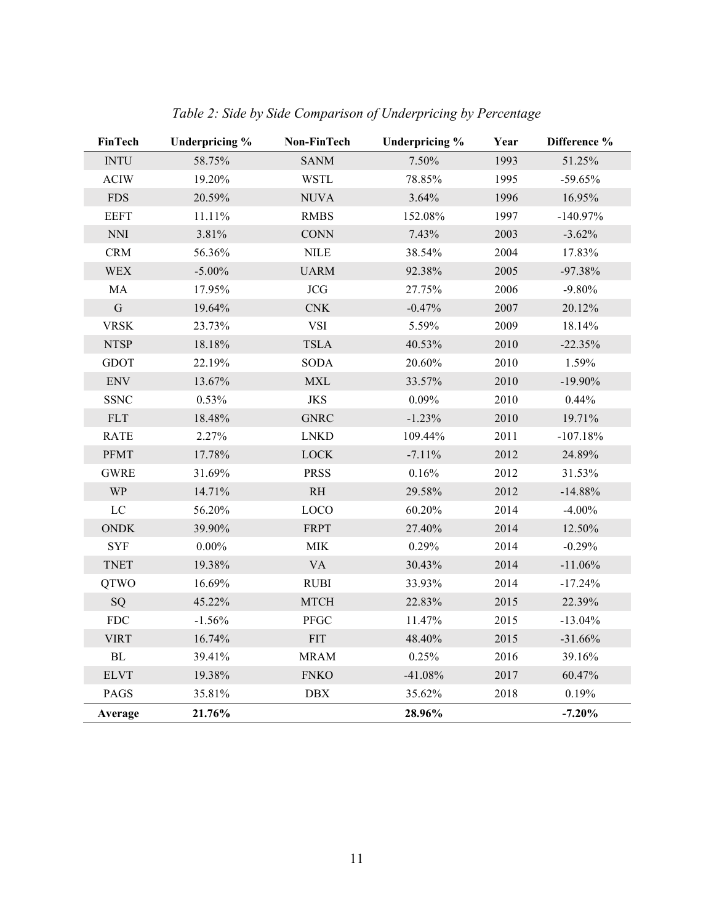| <b>FinTech</b>                                    | <b>Underpricing %</b> | Non-FinTech  | Underpricing % | Year | Difference % |
|---------------------------------------------------|-----------------------|--------------|----------------|------|--------------|
| <b>INTU</b>                                       | 58.75%                | <b>SANM</b>  | 7.50%          | 1993 | 51.25%       |
| <b>ACIW</b>                                       | 19.20%                | <b>WSTL</b>  | 78.85%         | 1995 | $-59.65%$    |
| <b>FDS</b>                                        | 20.59%                | <b>NUVA</b>  | 3.64%          | 1996 | 16.95%       |
| <b>EEFT</b>                                       | 11.11%                | <b>RMBS</b>  | 152.08%        | 1997 | $-140.97\%$  |
| $\mathop{\rm NN}\nolimits\mathop{\rm I}\nolimits$ | 3.81%                 | <b>CONN</b>  | 7.43%          | 2003 | $-3.62%$     |
| CRM                                               | 56.36%                | <b>NILE</b>  | 38.54%         | 2004 | 17.83%       |
| <b>WEX</b>                                        | $-5.00\%$             | <b>UARM</b>  | 92.38%         | 2005 | $-97.38%$    |
| MA                                                | 17.95%                | JCG          | 27.75%         | 2006 | $-9.80%$     |
| ${\bf G}$                                         | 19.64%                | $\rm CNK$    | $-0.47%$       | 2007 | 20.12%       |
| <b>VRSK</b>                                       | 23.73%                | <b>VSI</b>   | 5.59%          | 2009 | 18.14%       |
| <b>NTSP</b>                                       | 18.18%                | <b>TSLA</b>  | 40.53%         | 2010 | $-22.35%$    |
| <b>GDOT</b>                                       | 22.19%                | <b>SODA</b>  | 20.60%         | 2010 | 1.59%        |
| <b>ENV</b>                                        | 13.67%                | <b>MXL</b>   | 33.57%         | 2010 | $-19.90\%$   |
| <b>SSNC</b>                                       | 0.53%                 | <b>JKS</b>   | 0.09%          | 2010 | 0.44%        |
| <b>FLT</b>                                        | 18.48%                | <b>GNRC</b>  | $-1.23%$       | 2010 | 19.71%       |
| <b>RATE</b>                                       | 2.27%                 | <b>LNKD</b>  | 109.44%        | 2011 | $-107.18%$   |
| <b>PFMT</b>                                       | 17.78%                | <b>LOCK</b>  | $-7.11%$       | 2012 | 24.89%       |
| <b>GWRE</b>                                       | 31.69%                | <b>PRSS</b>  | 0.16%          | 2012 | 31.53%       |
| <b>WP</b>                                         | 14.71%                | RH           | 29.58%         | 2012 | $-14.88%$    |
| $\rm LC$                                          | 56.20%                | LOCO         | 60.20%         | 2014 | $-4.00%$     |
| $\mathop{\rm ONDK}$                               | 39.90%                | <b>FRPT</b>  | 27.40%         | 2014 | 12.50%       |
| <b>SYF</b>                                        | $0.00\%$              | $\text{MIK}$ | 0.29%          | 2014 | $-0.29%$     |
| <b>TNET</b>                                       | 19.38%                | <b>VA</b>    | 30.43%         | 2014 | $-11.06%$    |
| <b>QTWO</b>                                       | 16.69%                | <b>RUBI</b>  | 33.93%         | 2014 | $-17.24%$    |
| SQ                                                | 45.22%                | <b>MTCH</b>  | 22.83%         | 2015 | 22.39%       |
| ${\rm FDC}$                                       | $-1.56%$              | ${\rm PFGC}$ | 11.47%         | 2015 | $-13.04%$    |
| <b>VIRT</b>                                       | 16.74%                | <b>FIT</b>   | 48.40%         | 2015 | $-31.66%$    |
| ${\rm BL}$                                        | 39.41%                | <b>MRAM</b>  | 0.25%          | 2016 | 39.16%       |
| <b>ELVT</b>                                       | 19.38%                | <b>FNKO</b>  | $-41.08%$      | 2017 | 60.47%       |
| PAGS                                              | 35.81%                | $\rm DBX$    | 35.62%         | 2018 | 0.19%        |
| Average                                           | 21.76%                |              | 28.96%         |      | $-7.20\%$    |

Table 2: Side by Side Comparison of Underpricing by Percentage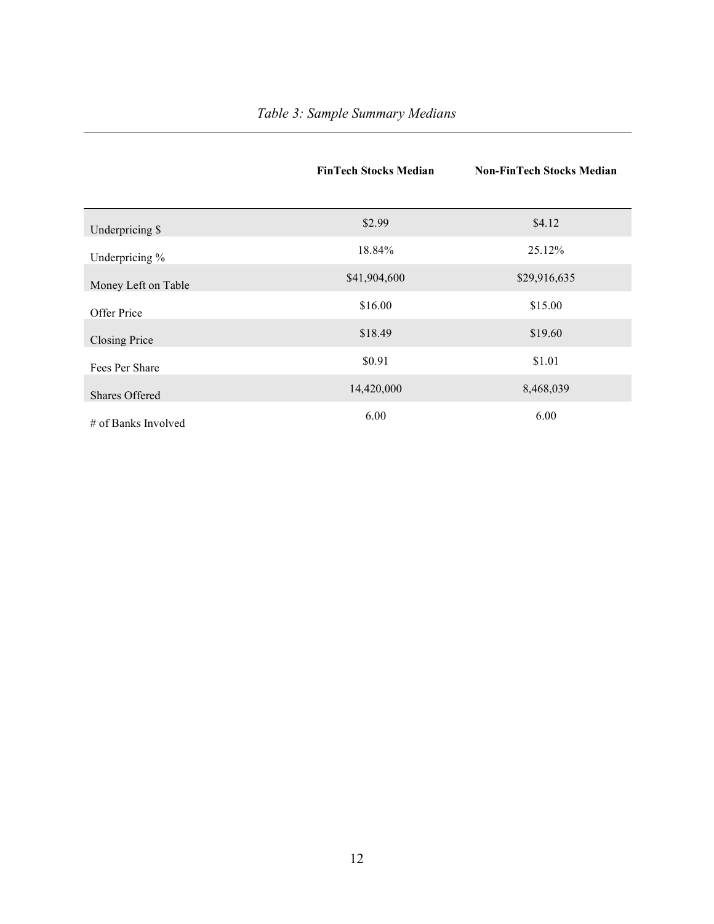|                     | <b>FinTech Stocks Median</b> | <b>Non-FinTech Stocks Median</b> |
|---------------------|------------------------------|----------------------------------|
|                     |                              |                                  |
| Underpricing \$     | \$2.99                       | \$4.12                           |
| Underpricing %      | 18.84%                       | 25.12%                           |
| Money Left on Table | \$41,904,600                 | \$29,916,635                     |
| Offer Price         | \$16.00                      | \$15.00                          |
| Closing Price       | \$18.49                      | \$19.60                          |
| Fees Per Share      | \$0.91                       | \$1.01                           |
| Shares Offered      | 14,420,000                   | 8,468,039                        |
| # of Banks Involved | 6.00                         | 6.00                             |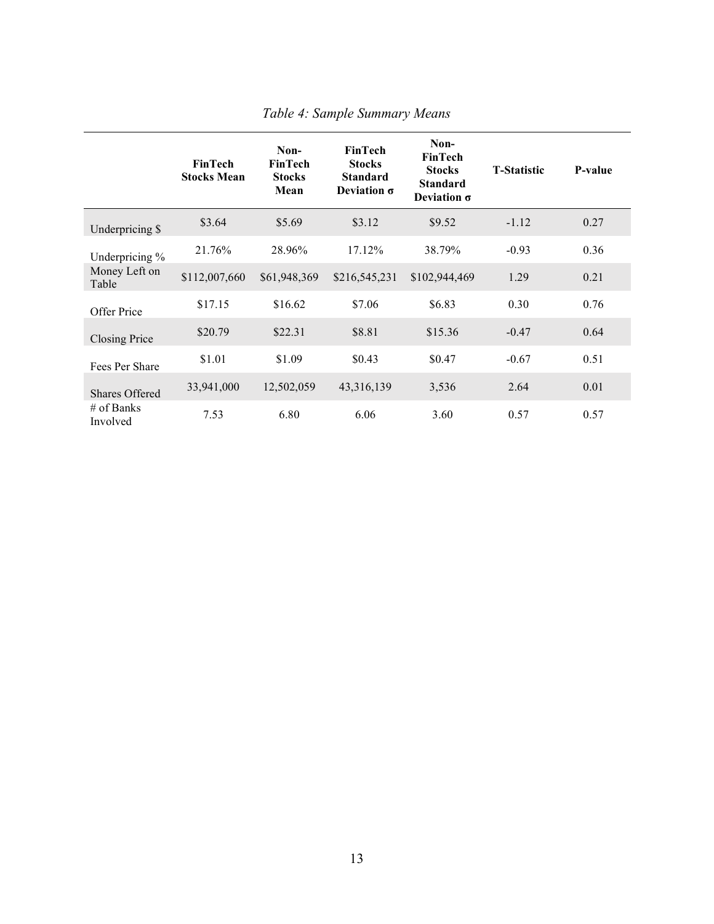|                        | <b>FinTech</b><br><b>Stocks Mean</b> | Non-<br><b>FinTech</b><br><b>Stocks</b><br>Mean | <b>FinTech</b><br><b>Stocks</b><br><b>Standard</b><br>Deviation $\sigma$ | Non-<br><b>FinTech</b><br><b>Stocks</b><br><b>Standard</b><br>Deviation $\sigma$ | <b>T-Statistic</b> | P-value |
|------------------------|--------------------------------------|-------------------------------------------------|--------------------------------------------------------------------------|----------------------------------------------------------------------------------|--------------------|---------|
| Underpricing \$        | \$3.64                               | \$5.69                                          | \$3.12                                                                   | \$9.52                                                                           | $-1.12$            | 0.27    |
| Underpricing %         | 21.76%                               | 28.96%                                          | 17.12%                                                                   | 38.79%                                                                           | $-0.93$            | 0.36    |
| Money Left on<br>Table | \$112,007,660                        | \$61,948,369                                    | \$216,545,231                                                            | \$102,944,469                                                                    | 1.29               | 0.21    |
| Offer Price            | \$17.15                              | \$16.62                                         | \$7.06                                                                   | \$6.83                                                                           | 0.30               | 0.76    |
| Closing Price          | \$20.79                              | \$22.31                                         | \$8.81                                                                   | \$15.36                                                                          | $-0.47$            | 0.64    |
| Fees Per Share         | \$1.01                               | \$1.09                                          | \$0.43                                                                   | \$0.47                                                                           | $-0.67$            | 0.51    |
| Shares Offered         | 33,941,000                           | 12,502,059                                      | 43, 316, 139                                                             | 3,536                                                                            | 2.64               | 0.01    |
| # of Banks<br>Involved | 7.53                                 | 6.80                                            | 6.06                                                                     | 3.60                                                                             | 0.57               | 0.57    |

Table 4: Sample Summary Means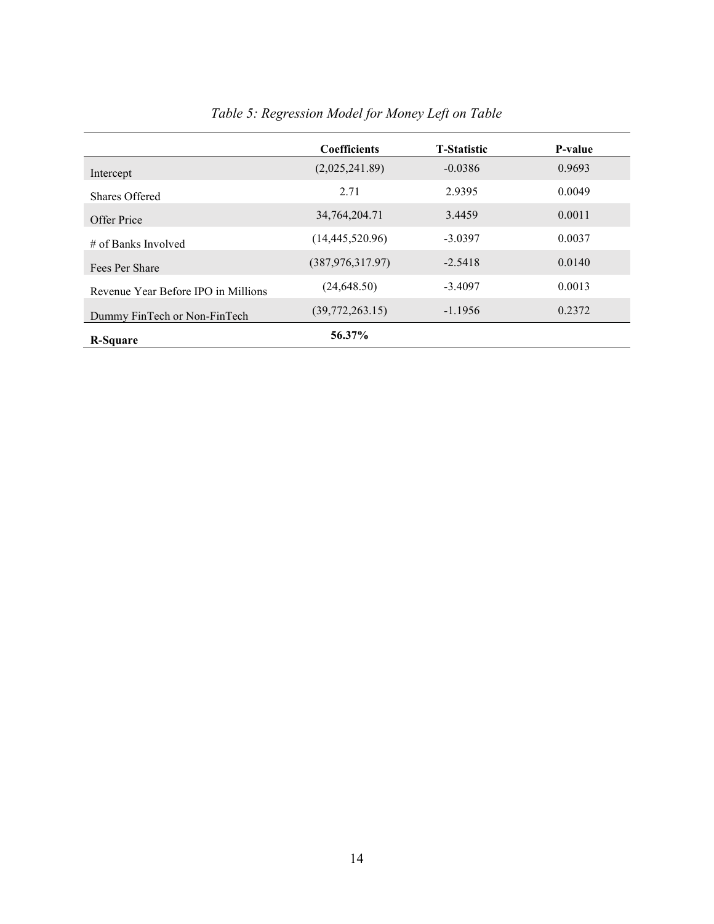|                                     | <b>Coefficients</b> | <b>T-Statistic</b> | P-value |
|-------------------------------------|---------------------|--------------------|---------|
| Intercept                           | (2,025,241.89)      | $-0.0386$          | 0.9693  |
| Shares Offered                      | 2.71                | 2.9395             | 0.0049  |
| Offer Price                         | 34, 764, 204. 71    | 3.4459             | 0.0011  |
| $\#$ of Banks Involved              | (14, 445, 520.96)   | $-3.0397$          | 0.0037  |
| Fees Per Share                      | (387, 976, 317.97)  | $-2.5418$          | 0.0140  |
| Revenue Year Before IPO in Millions | (24, 648.50)        | $-3.4097$          | 0.0013  |
| Dummy FinTech or Non-FinTech        | (39,772,263.15)     | $-1.1956$          | 0.2372  |
| <b>R-Square</b>                     | 56.37%              |                    |         |

# Table 5: Regression Model for Money Left on Table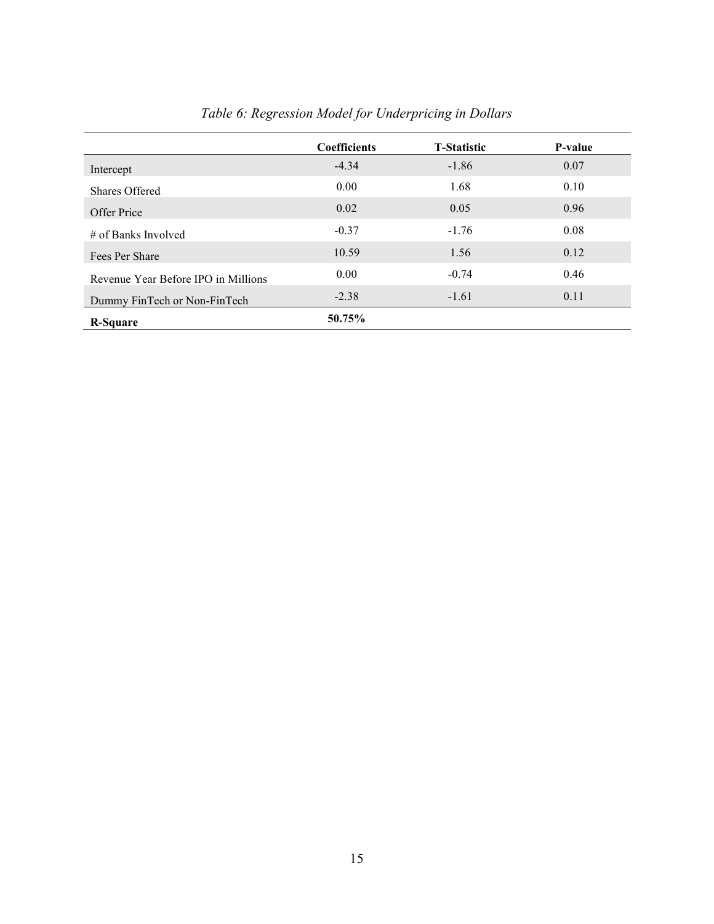|                                     | <b>Coefficients</b> | <b>T-Statistic</b> | P-value |
|-------------------------------------|---------------------|--------------------|---------|
| Intercept                           | $-4.34$             | $-1.86$            | 0.07    |
| Shares Offered                      | 0.00                | 1.68               | 0.10    |
| Offer Price                         | 0.02                | 0.05               | 0.96    |
| $\#$ of Banks Involved              | $-0.37$             | $-1.76$            | 0.08    |
| Fees Per Share                      | 10.59               | 1.56               | 0.12    |
| Revenue Year Before IPO in Millions | 0.00                | $-0.74$            | 0.46    |
| Dummy FinTech or Non-FinTech        | $-2.38$             | $-1.61$            | 0.11    |
| <b>R-Square</b>                     | 50.75%              |                    |         |

# Table 6: Regression Model for Underpricing in Dollars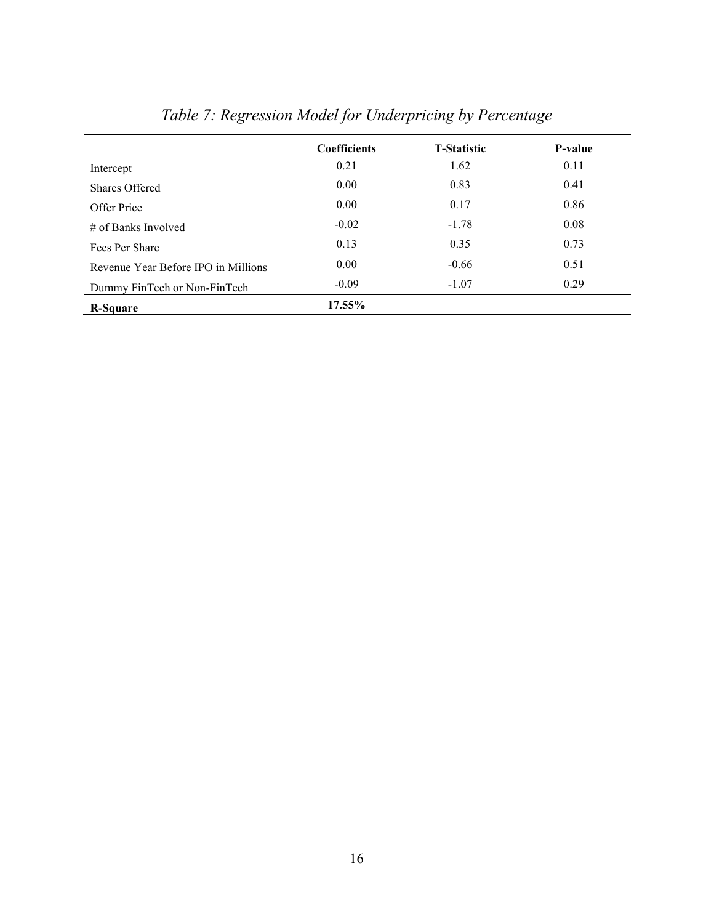|                                     | <b>Coefficients</b> | <b>T-Statistic</b> | P-value |
|-------------------------------------|---------------------|--------------------|---------|
| Intercept                           | 0.21                | 1.62               | 0.11    |
| Shares Offered                      | 0.00                | 0.83               | 0.41    |
| Offer Price                         | 0.00                | 0.17               | 0.86    |
| $\#$ of Banks Involved              | $-0.02$             | $-1.78$            | 0.08    |
| Fees Per Share                      | 0.13                | 0.35               | 0.73    |
| Revenue Year Before IPO in Millions | 0.00                | $-0.66$            | 0.51    |
| Dummy FinTech or Non-FinTech        | $-0.09$             | $-1.07$            | 0.29    |
| <b>R-Square</b>                     | 17.55%              |                    |         |

# Table 7: Regression Model for Underpricing by Percentage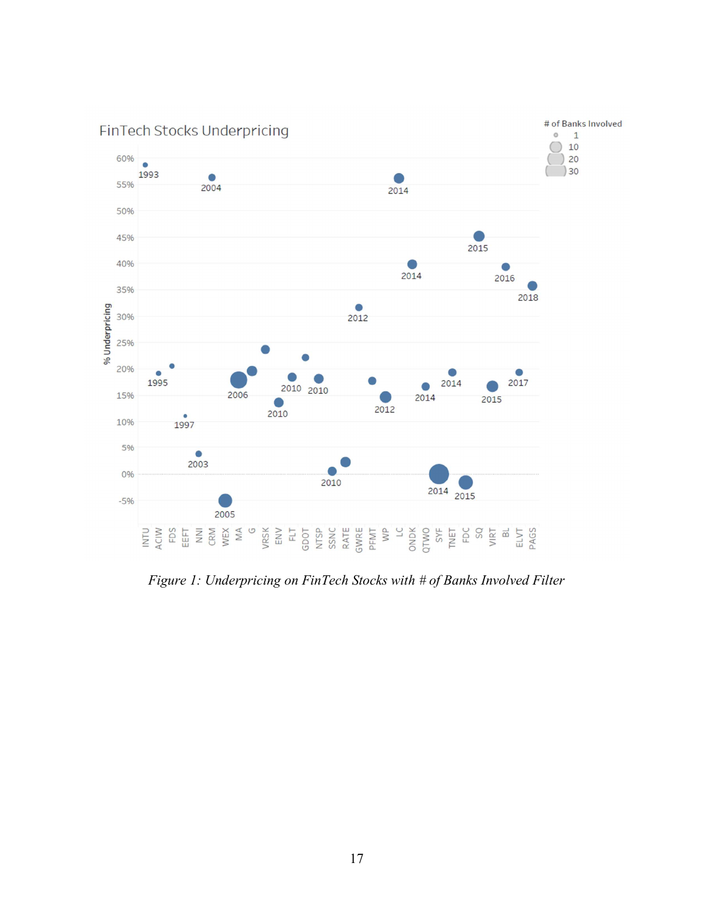

Figure 1: Underpricing on FinTech Stocks with # of Banks Involved Filter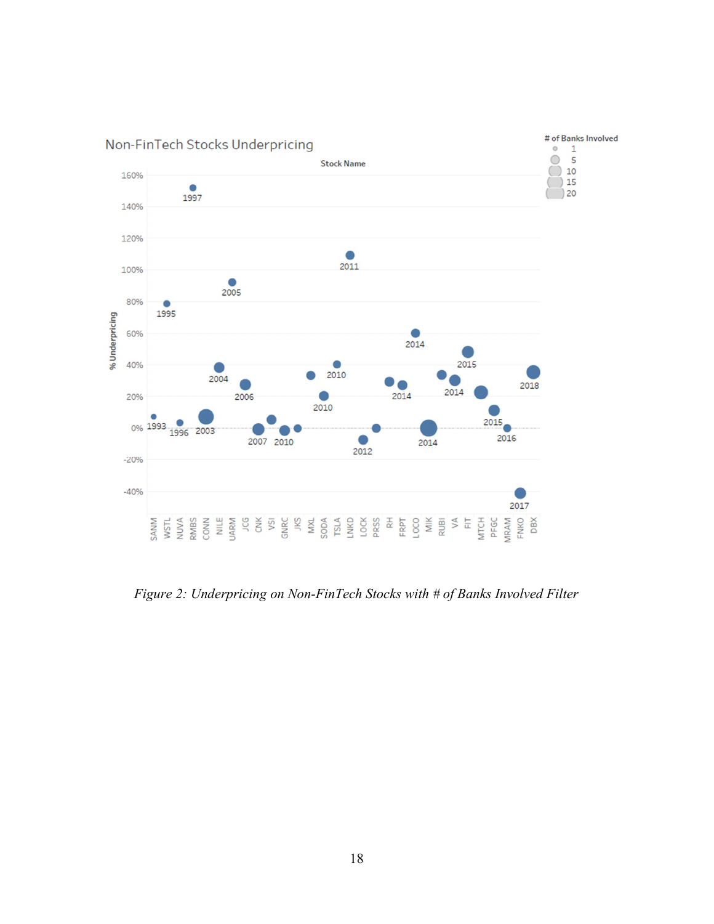

Figure 2: Underpricing on Non-FinTech Stocks with # of Banks Involved Filter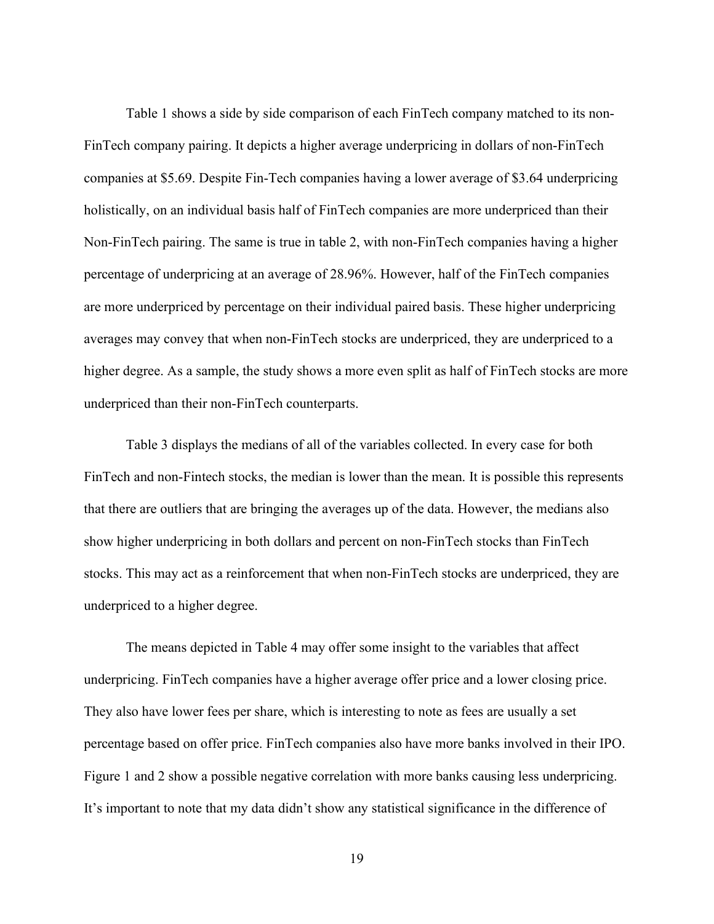Table 1 shows a side by side comparison of each FinTech company matched to its non-FinTech company pairing. It depicts a higher average underpricing in dollars of non-FinTech companies at \$5.69. Despite Fin-Tech companies having a lower average of \$3.64 underpricing holistically, on an individual basis half of FinTech companies are more underpriced than their Non-FinTech pairing. The same is true in table 2, with non-FinTech companies having a higher percentage of underpricing at an average of 28.96%. However, half of the FinTech companies are more underpriced by percentage on their individual paired basis. These higher underpricing averages may convey that when non-FinTech stocks are underpriced, they are underpriced to a higher degree. As a sample, the study shows a more even split as half of FinTech stocks are more underpriced than their non-FinTech counterparts.

Table 3 displays the medians of all of the variables collected. In every case for both FinTech and non-Fintech stocks, the median is lower than the mean. It is possible this represents that there are outliers that are bringing the averages up of the data. However, the medians also show higher underpricing in both dollars and percent on non-FinTech stocks than FinTech stocks. This may act as a reinforcement that when non-FinTech stocks are underpriced, they are underpriced to a higher degree.

The means depicted in Table 4 may offer some insight to the variables that affect underpricing. FinTech companies have a higher average offer price and a lower closing price. They also have lower fees per share, which is interesting to note as fees are usually a set percentage based on offer price. FinTech companies also have more banks involved in their IPO. Figure 1 and 2 show a possible negative correlation with more banks causing less underpricing. It's important to note that my data didn't show any statistical significance in the difference of

19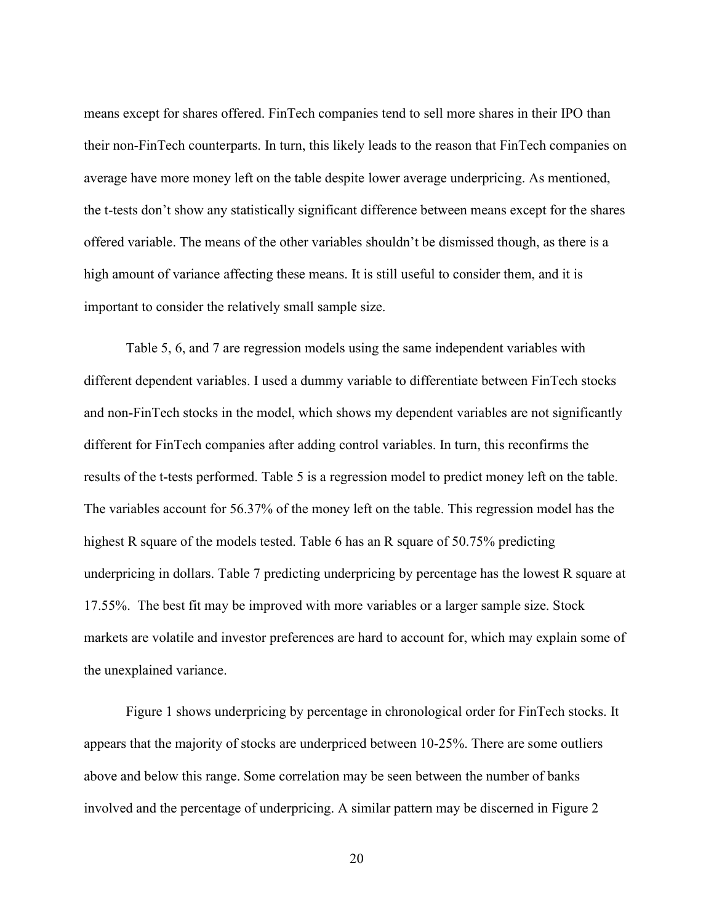means except for shares offered. FinTech companies tend to sell more shares in their IPO than their non-FinTech counterparts. In turn, this likely leads to the reason that FinTech companies on average have more money left on the table despite lower average underpricing. As mentioned, the t-tests don't show any statistically significant difference between means except for the shares offered variable. The means of the other variables shouldn't be dismissed though, as there is a high amount of variance affecting these means. It is still useful to consider them, and it is important to consider the relatively small sample size.

Table 5, 6, and 7 are regression models using the same independent variables with different dependent variables. I used a dummy variable to differentiate between FinTech stocks and non-FinTech stocks in the model, which shows my dependent variables are not significantly different for FinTech companies after adding control variables. In turn, this reconfirms the results of the t-tests performed. Table 5 is a regression model to predict money left on the table. The variables account for 56.37% of the money left on the table. This regression model has the highest R square of the models tested. Table 6 has an R square of 50.75% predicting underpricing in dollars. Table 7 predicting underpricing by percentage has the lowest R square at 17.55%. The best fit may be improved with more variables or a larger sample size. Stock markets are volatile and investor preferences are hard to account for, which may explain some of the unexplained variance.

Figure 1 shows underpricing by percentage in chronological order for FinTech stocks. It appears that the majority of stocks are underpriced between 10-25%. There are some outliers above and below this range. Some correlation may be seen between the number of banks involved and the percentage of underpricing. A similar pattern may be discerned in Figure 2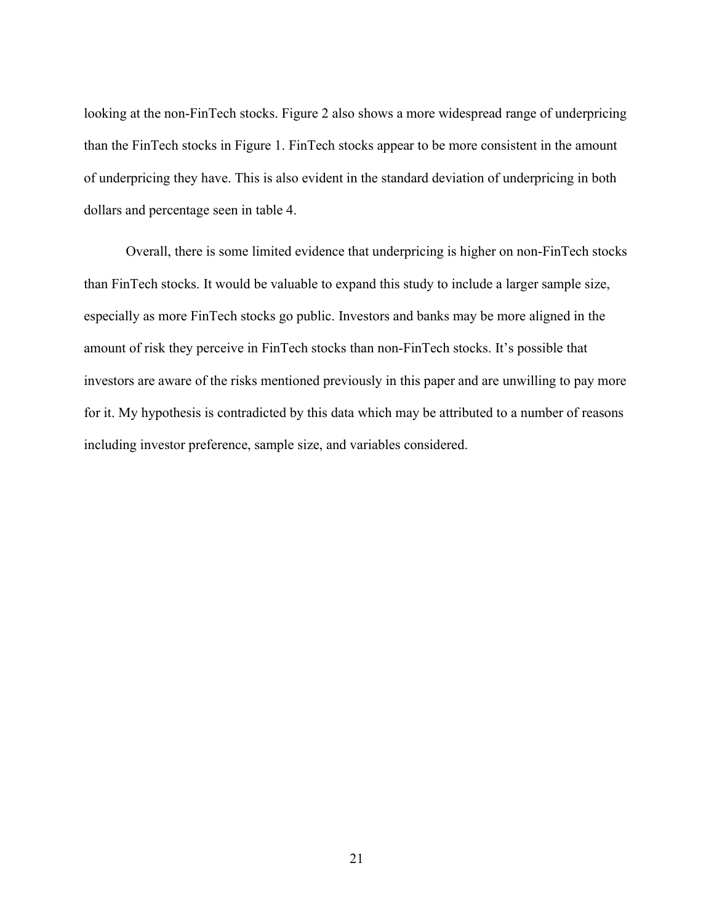looking at the non-FinTech stocks. Figure 2 also shows a more widespread range of underpricing than the FinTech stocks in Figure 1. FinTech stocks appear to be more consistent in the amount of underpricing they have. This is also evident in the standard deviation of underpricing in both dollars and percentage seen in table 4.

Overall, there is some limited evidence that underpricing is higher on non-FinTech stocks than FinTech stocks. It would be valuable to expand this study to include a larger sample size, especially as more FinTech stocks go public. Investors and banks may be more aligned in the amount of risk they perceive in FinTech stocks than non-FinTech stocks. It's possible that investors are aware of the risks mentioned previously in this paper and are unwilling to pay more for it. My hypothesis is contradicted by this data which may be attributed to a number of reasons including investor preference, sample size, and variables considered.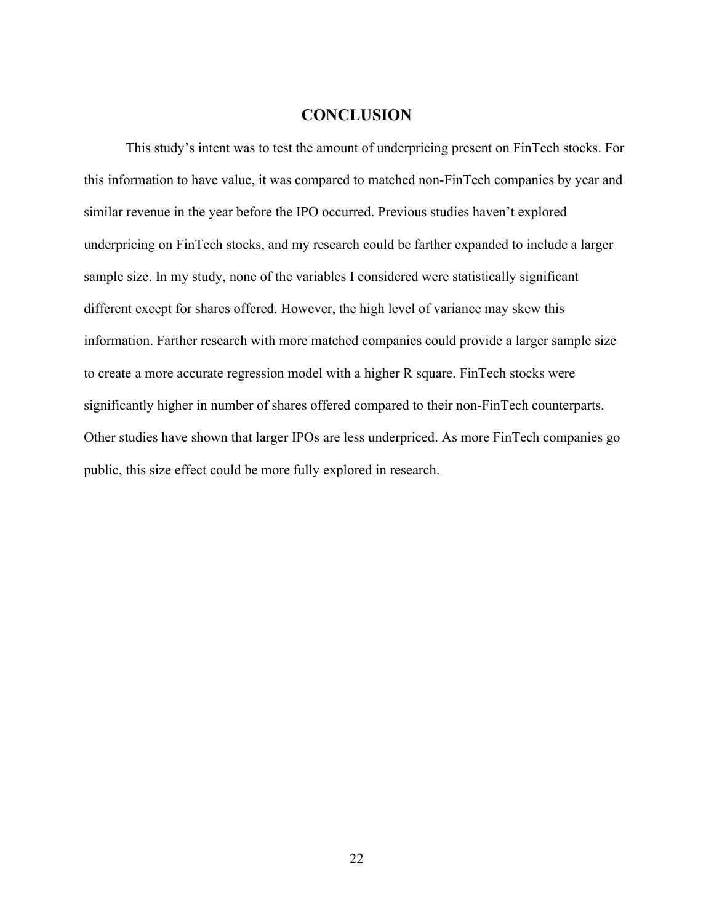#### **CONCLUSION**

 This study's intent was to test the amount of underpricing present on FinTech stocks. For this information to have value, it was compared to matched non-FinTech companies by year and similar revenue in the year before the IPO occurred. Previous studies haven't explored underpricing on FinTech stocks, and my research could be farther expanded to include a larger sample size. In my study, none of the variables I considered were statistically significant different except for shares offered. However, the high level of variance may skew this information. Farther research with more matched companies could provide a larger sample size to create a more accurate regression model with a higher R square. FinTech stocks were significantly higher in number of shares offered compared to their non-FinTech counterparts. Other studies have shown that larger IPOs are less underpriced. As more FinTech companies go public, this size effect could be more fully explored in research.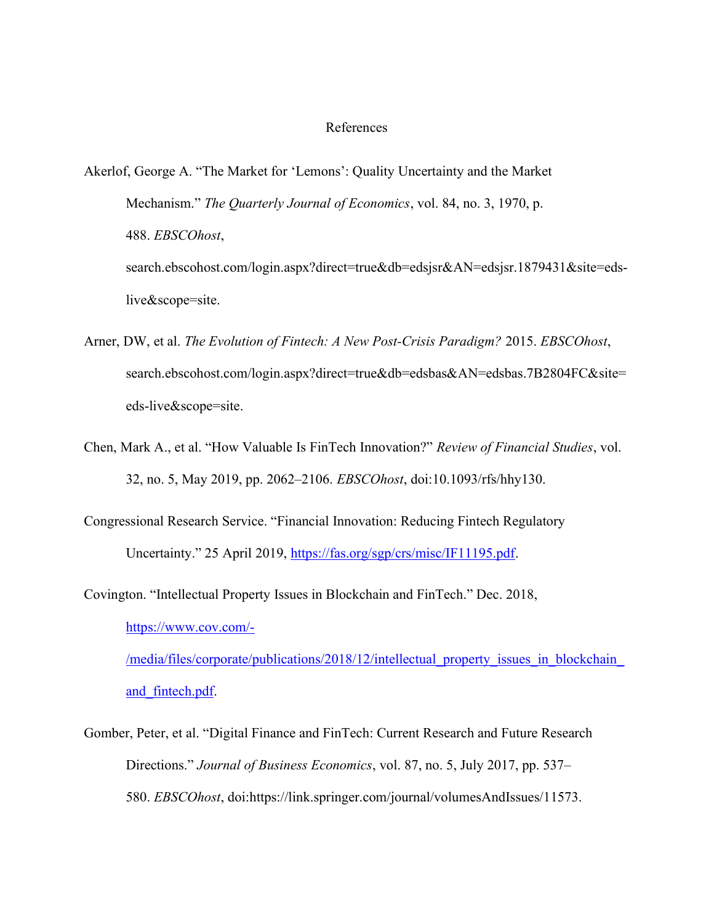#### References

- Akerlof, George A. "The Market for 'Lemons': Quality Uncertainty and the Market Mechanism." The Quarterly Journal of Economics, vol. 84, no. 3, 1970, p. 488. EBSCOhost, search.ebscohost.com/login.aspx?direct=true&db=edsjsr&AN=edsjsr.1879431&site=edslive&scope=site.
- Arner, DW, et al. The Evolution of Fintech: A New Post-Crisis Paradigm? 2015. EBSCOhost, search.ebscohost.com/login.aspx?direct=true&db=edsbas&AN=edsbas.7B2804FC&site= eds-live&scope=site.
- Chen, Mark A., et al. "How Valuable Is FinTech Innovation?" Review of Financial Studies, vol. 32, no. 5, May 2019, pp. 2062–2106. EBSCOhost, doi:10.1093/rfs/hhy130.
- Congressional Research Service. "Financial Innovation: Reducing Fintech Regulatory Uncertainty." 25 April 2019, https://fas.org/sgp/crs/misc/IF11195.pdf.
- Covington. "Intellectual Property Issues in Blockchain and FinTech." Dec. 2018, https://www.cov.com/- /media/files/corporate/publications/2018/12/intellectual property issues in blockchain and\_fintech.pdf.
- Gomber, Peter, et al. "Digital Finance and FinTech: Current Research and Future Research Directions." *Journal of Business Economics*, vol. 87, no. 5, July 2017, pp. 537– 580. EBSCOhost, doi:https://link.springer.com/journal/volumesAndIssues/11573.